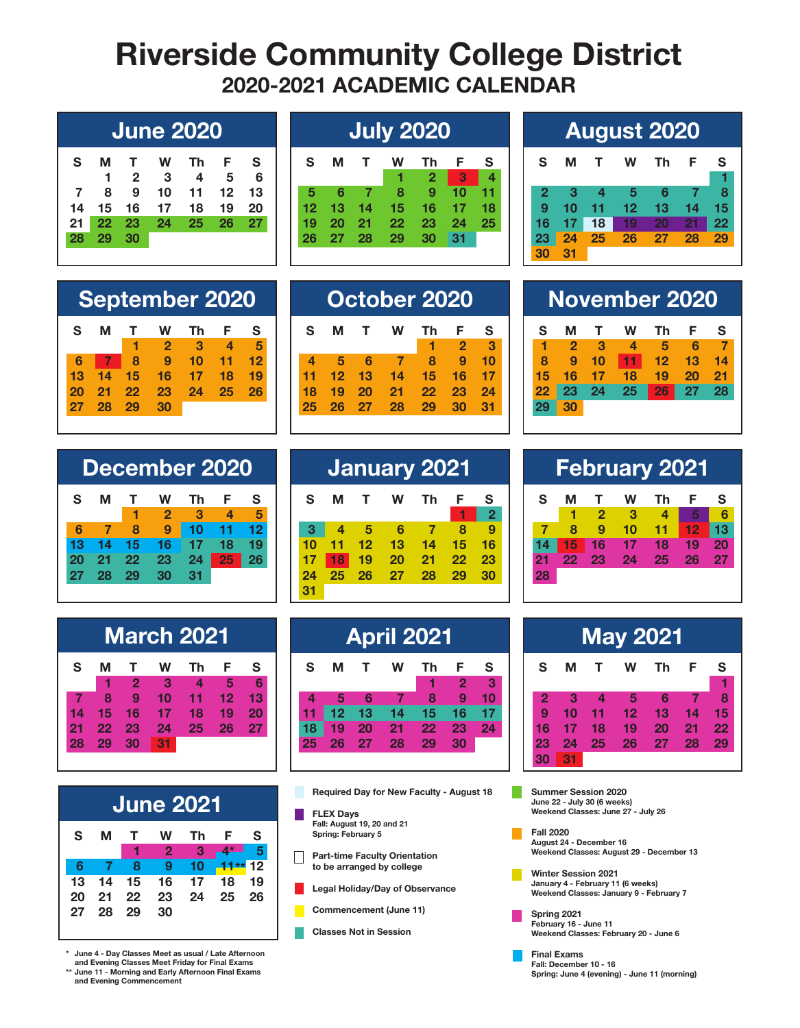## **Riverside Community College District 2020-2021 ACADEMIC CALENDAR**

| $\mathsf{S}$ |          | M T W Th F S               |  |  |
|--------------|----------|----------------------------|--|--|
|              |          | $1 \t2 \t3 \t4 \t5 \t6$    |  |  |
|              |          | 7 8 9 10 11 12 13          |  |  |
|              |          | 14  15  16  17  18  19  20 |  |  |
|              |          | 21 22 23 24 25 26 27       |  |  |
|              | 28 29 30 |                            |  |  |

| $\mathsf{S}$ | м          | $\mathbf{T}$ | W              | Th.             | $\mathsf{F}$    | S    |
|--------------|------------|--------------|----------------|-----------------|-----------------|------|
|              |            |              | $1 -$          | $2 \mid 3 \mid$ |                 | 4    |
| 5.           | <b>16.</b> |              | 789            |                 | 10              | - 11 |
| $12-12$      |            |              | 13 14 15 16 17 |                 |                 | 18   |
| 19           | -20        |              | 21 22 23       |                 | $\overline{24}$ | - 25 |
|              | 26 27 28   |              | - 29           | 30              | -31             |      |
|              |            |              |                |                 |                 |      |

## **June 2020 July 2020 August 2020**

| S.         | M        | $\mathbf{T}$     | <b>W</b>             | Th | - F  | S   |
|------------|----------|------------------|----------------------|----|------|-----|
|            |          |                  |                      |    |      | 47  |
| $2\bullet$ | - 3      | $\blacksquare$ 4 | $\blacksquare$ 5     | 6  | - 78 |     |
|            | $9 - 10$ |                  | 11 12 13 14 15       |    |      |     |
|            |          |                  | 16 17 18 19 20 21 22 |    |      |     |
| 23         |          |                  | 24 25 26 27 28       |    |      | -29 |
| 30         | 31       |                  |                      |    |      |     |

| S. | м     | T        | W           | - Th                    | - F -   | S   |
|----|-------|----------|-------------|-------------------------|---------|-----|
|    |       |          | $1 \quad 2$ | $\overline{\mathbf{3}}$ | 4       | 5   |
| 6  |       |          | 789         | $\overline{10}$         | $11$ 12 |     |
| 13 | $-14$ |          | 15 16 17 18 |                         |         | 19  |
| 20 |       | 21 22 23 |             | 24                      | $25 -$  | -26 |
| 27 | 28    | 29       | 30          |                         |         |     |

|   |    |    | <b>September 2020</b> |    |    |  |   | October 2020 |    |    |    |  |  | <b>November 2020</b> |     |  |
|---|----|----|-----------------------|----|----|--|---|--------------|----|----|----|--|--|----------------------|-----|--|
|   |    |    |                       |    |    |  | м | w            |    |    |    |  |  | w                    | Тh  |  |
|   |    |    |                       |    |    |  |   |              |    |    | з  |  |  |                      | 5   |  |
|   |    | 9  |                       |    |    |  |   |              |    |    | 10 |  |  |                      |     |  |
| 3 |    | Iб |                       |    |    |  |   |              |    |    |    |  |  |                      | 19. |  |
|   | クク | 23 | 24                    | 25 | 26 |  |   |              | クク | 23 | 24 |  |  | 25                   | 26  |  |
|   | 29 | 30 |                       |    |    |  |   |              |    |    | 31 |  |  |                      |     |  |

|    |    |    |              | December 2020 |    |    |
|----|----|----|--------------|---------------|----|----|
| S  | м  |    | W            | Th            | F  | S  |
|    |    |    | $\mathbf{2}$ | З             |    | 5  |
| հ  |    | 8  | 9            | 10            | 11 | 12 |
| 13 | 14 | 15 | 16           | 17            | 18 | 19 |
| 20 | 21 | 22 | 23           | 24            | 25 | 26 |
| 27 | 28 | 29 | 30           | 31            |    |    |

|              |    |                         | <b>March 2021</b> |                  |           |    |
|--------------|----|-------------------------|-------------------|------------------|-----------|----|
| $\mathbf{s}$ | м  | т                       | W                 | Тh               | F         | S  |
|              |    | $\overline{\mathbf{2}}$ | - 3               | $\boldsymbol{4}$ | 5         | 6  |
|              | 8  | $\ddot{\bullet}$        | 10                | 11               | 12        | 13 |
| 14           | 15 | 16                      | 17                | 18               | 19        | 20 |
| 21           | 22 | 23                      | 24                | 25               | <b>26</b> | 27 |
| 28           | 29 | 30                      | 31                |                  |           |    |
|              |    |                         |                   |                  |           |    |

|    |    |     |           | <b>June 2021</b> |           |      |
|----|----|-----|-----------|------------------|-----------|------|
| S  | м  | т.  | W         | Тh               | E         | S    |
|    |    | -1  | $\bullet$ | 43               | $4*$      | $-5$ |
| 6  | 7  | 8   | 9         | 10               | $11**$ 12 |      |
| 13 | 14 | 15  | 16        | 17               | 18        | - 19 |
| 20 | 21 | 22  | 23        | 24               | - 25      | -26  |
| 27 | 28 | -29 | 30        |                  |           |      |
|    |    |     |           |                  |           |      |

**\* June 4 - Day Classes Meet as usual / Late Afternoon and Evening Classes Meet Friday for Final Exams**

**\*\* June 11 - Morning and Early Afternoon Final Exams and Evening Commencement**

|    |    | December 2020 |    |    |          | January 2021 |    |    |    |     |     |             |  |                |                 |    | <b>February 2021</b> |    |    |  |
|----|----|---------------|----|----|----------|--------------|----|----|----|-----|-----|-------------|--|----------------|-----------------|----|----------------------|----|----|--|
| М  |    | W             | Τh |    | <b>S</b> |              | M  |    | W  | Th. | - F | - S         |  | S              |                 |    | W                    | Тh |    |  |
|    |    |               | 3  | 4  | 5        |              |    |    |    |     |     | $\mathbf 2$ |  |                |                 |    |                      |    |    |  |
|    |    | 9             |    |    |          |              |    | 5  | 6  |     |     |             |  |                |                 | 9  |                      |    |    |  |
|    |    |               |    | 18 | 19       |              |    |    | 13 | 14  | 15  | 16          |  |                | 15              | 16 |                      |    |    |  |
|    | 22 | 23            |    | 25 | 26       |              | 18 | 19 | 20 | 21  | 22  | 23          |  | 2 <sub>1</sub> | 22 <sub>1</sub> | 23 | 24                   | 25 | 26 |  |
| 28 | 29 |               | 31 |    |          | 24           | 25 | 26 | 27 | 28  | 29  | 30          |  | 28             |                 |    |                      |    |    |  |
|    |    |               |    |    |          | 31           |    |    |    |     |     |             |  |                |                 |    |                      |    |    |  |

|    |     |    | <b>March 2021</b> |    |    |    |    |    | <b>April 2021</b> |    |    |          |    |    |    |    | <b>May 2021</b> |  |
|----|-----|----|-------------------|----|----|----|----|----|-------------------|----|----|----------|----|----|----|----|-----------------|--|
|    |     | W  | Τh                |    | S  | S  | М  |    | w                 | Th | E  | <b>S</b> | S  | M  |    | W  | Th              |  |
|    | 2   | з  |                   | 5  |    |    |    |    |                   |    | 2  | 3        |    |    |    |    |                 |  |
| 8  | 9   |    |                   |    |    |    |    |    |                   | 8  | 9  |          |    |    |    | 5  | - 6             |  |
| 5. |     |    | 18                |    | 20 |    |    |    |                   |    |    |          | 9  |    |    | 12 | 13              |  |
| 2  | -23 | 24 | 25                | 26 | 27 | 18 | 19 | 20 | 21                | 22 | 23 | 24       |    |    | 18 | 19 | 20              |  |
| 9  | 30  | 31 |                   |    |    | 25 | 26 | 27 | 28                | 29 | 30 |          | 23 | 24 | 25 | 26 | 27              |  |
|    |     |    |                   |    |    |    |    |    |                   |    |    |          |    | 31 |    |    |                 |  |

**Required Day for New Faculty - August 18**

**FLEX Days Fall: August 19, 20 and 21 Spring: February 5**

- $\Box$ **Part-time Faculty Orientation to be arranged by college**
- **Legal Holiday/Day of Observance**
- **Commencement (June 11)**
- **Classes Not in Session**

| S               | м              | т               | w  | Th              | -F.       | S  |
|-----------------|----------------|-----------------|----|-----------------|-----------|----|
|                 | $\overline{2}$ | 3               | 4  | 5               | 6         |    |
| 8               | 9              | 10              | 11 | 12              | 13        | 14 |
| 15              | 16             | $-17$           | 18 | 19              | <b>20</b> | 21 |
| 22 <sub>2</sub> | - 23           | $\overline{24}$ | 25 | 26 <sub>2</sub> | $-27$     | 28 |
| 29              | 30             |                 |    |                 |           |    |
|                 |                |                 |    |                 |           |    |

|    |    |                |    | <b>February 2021</b> |    |    |
|----|----|----------------|----|----------------------|----|----|
| S  | м  | т              | w  | Th                   | F  | S  |
|    | 1  | $\overline{2}$ | -3 | 4                    | 5  | 6  |
|    | 8  | 9              | 10 | 11                   | 12 | 13 |
| 14 | 15 | 16             | 17 | 18                   | 19 | 20 |
| 21 | 22 | 23             | 24 | 25                   | 26 | 27 |
| 28 |    |                |    |                      |    |    |
|    |    |                |    |                      |    |    |

| <b>May 2021</b> |    |    |    |    |    |    |    |  |
|-----------------|----|----|----|----|----|----|----|--|
|                 | S  | м  | т  | w  | Th | F  | S  |  |
|                 |    |    |    |    |    |    | 1  |  |
|                 | 2  | З  | 4  | 5  | 6  | 7  | 8  |  |
|                 | 9  | 10 | 11 | 12 | 13 | 14 | 15 |  |
|                 | 16 | 17 | 18 | 19 | 20 | 21 | 22 |  |
|                 | 23 | 24 | 25 | 26 | 27 | 28 | 29 |  |
|                 | 30 | 31 |    |    |    |    |    |  |

**Summer Session 2020 June 22 - July 30 (6 weeks) Weekend Classes: June 27 - July 26**

H.

**Fall 2020 August 24 - December 16 Weekend Classes: August 29 - December 13**

- **Winter Session 2021 January 4 - February 11 (6 weeks) Weekend Classes: January 9 - February 7**
- **Spring 2021 February 16 - June 11 Weekend Classes: February 20 - June 6**
- **Final Exams Fall: December 10 - 16 Spring: June 4 (evening) - June 11 (morning)**